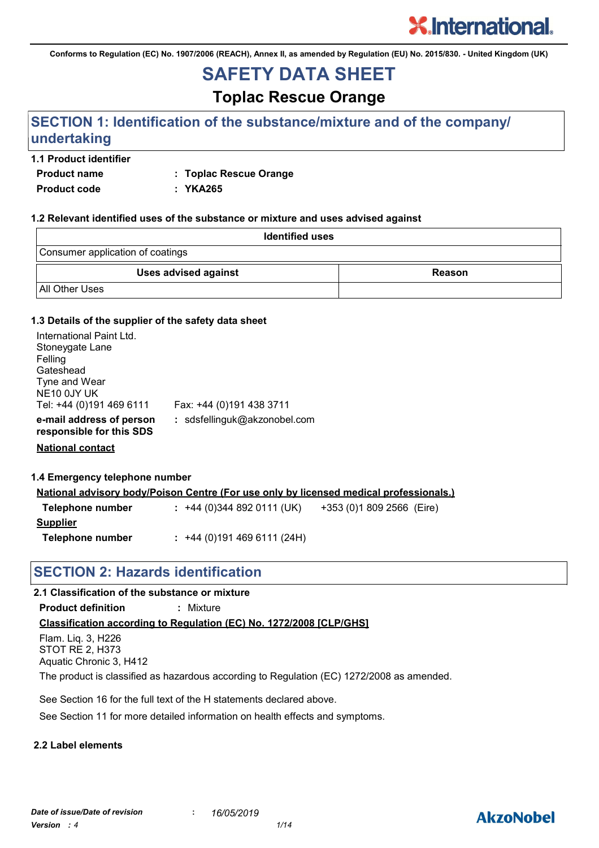**Conforms to Regulation (EC) No. 1907/2006 (REACH), Annex II, as amended by Regulation (EU) No. 2015/830. - United Kingdom (UK)**

## **SAFETY DATA SHEET**

**Toplac Rescue Orange**

### **SECTION 1: Identification of the substance/mixture and of the company/ undertaking**

#### **1.1 Product identifier**

**Product name : Toplac Rescue Orange**

**Product code : YKA265**

#### **1.2 Relevant identified uses of the substance or mixture and uses advised against**

| <b>Identified uses</b>           |        |
|----------------------------------|--------|
| Consumer application of coatings |        |
| Uses advised against             | Reason |
| All Other Uses                   |        |

#### **1.3 Details of the supplier of the safety data sheet**

| International Paint Ltd.                             |                              |
|------------------------------------------------------|------------------------------|
| Stoneygate Lane                                      |                              |
| Felling                                              |                              |
| Gateshead                                            |                              |
| Tyne and Wear                                        |                              |
| NE10 0JY UK                                          |                              |
| Tel: +44 (0)191 469 6111                             | Fax: +44 (0)191 438 3711     |
| e-mail address of person<br>responsible for this SDS | : sdsfellinguk@akzonobel.com |
| <b>National contact</b>                              |                              |

### **1.4 Emergency telephone number**

| <u>National advisory body/Poison Centre (For use only by licensed medical professionals.)</u> |                                                       |  |  |
|-----------------------------------------------------------------------------------------------|-------------------------------------------------------|--|--|
| Telephone number                                                                              | $: +44(0)3448920111(UK)$<br>+353 (0)1 809 2566 (Eire) |  |  |
| Supplier                                                                                      |                                                       |  |  |
| Telephone number                                                                              | $: +44(0)1914696111(24H)$                             |  |  |

### **SECTION 2: Hazards identification**

### **Classification according to Regulation (EC) No. 1272/2008 [CLP/GHS] 2.1 Classification of the substance or mixture Product definition :** Mixture Flam. Liq. 3, H226 STOT RE 2, H373 Aquatic Chronic 3, H412 The product is classified as hazardous according to Regulation (EC) 1272/2008 as amended.

See Section 16 for the full text of the H statements declared above.

See Section 11 for more detailed information on health effects and symptoms.

#### **2.2 Label elements**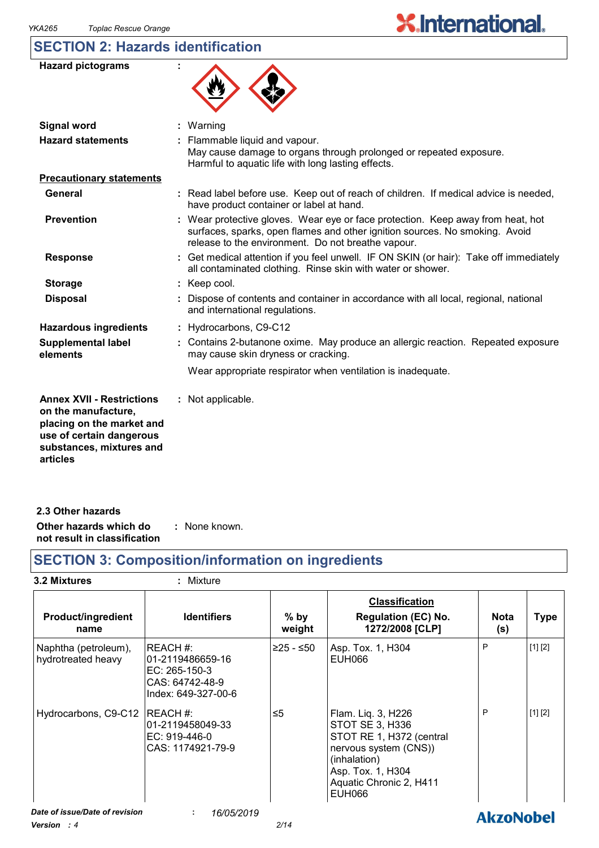### **SECTION 2: Hazards identification**

| <b>Hazard pictograms</b>                                                                                                                     |                                                                                                                                                                                                                      |
|----------------------------------------------------------------------------------------------------------------------------------------------|----------------------------------------------------------------------------------------------------------------------------------------------------------------------------------------------------------------------|
| <b>Signal word</b>                                                                                                                           | Warning                                                                                                                                                                                                              |
| <b>Hazard statements</b>                                                                                                                     | : Flammable liquid and vapour.<br>May cause damage to organs through prolonged or repeated exposure.<br>Harmful to aquatic life with long lasting effects.                                                           |
| <b>Precautionary statements</b>                                                                                                              |                                                                                                                                                                                                                      |
| <b>General</b>                                                                                                                               | : Read label before use. Keep out of reach of children. If medical advice is needed,<br>have product container or label at hand.                                                                                     |
| <b>Prevention</b>                                                                                                                            | : Wear protective gloves. Wear eye or face protection. Keep away from heat, hot<br>surfaces, sparks, open flames and other ignition sources. No smoking. Avoid<br>release to the environment. Do not breathe vapour. |
| <b>Response</b>                                                                                                                              | : Get medical attention if you feel unwell. IF ON SKIN (or hair): Take off immediately<br>all contaminated clothing. Rinse skin with water or shower.                                                                |
| <b>Storage</b>                                                                                                                               | : Keep cool.                                                                                                                                                                                                         |
| <b>Disposal</b>                                                                                                                              | Dispose of contents and container in accordance with all local, regional, national<br>and international regulations.                                                                                                 |
| <b>Hazardous ingredients</b>                                                                                                                 | : Hydrocarbons, C9-C12                                                                                                                                                                                               |
| <b>Supplemental label</b><br>elements                                                                                                        | : Contains 2-butanone oxime. May produce an allergic reaction. Repeated exposure<br>may cause skin dryness or cracking.                                                                                              |
|                                                                                                                                              | Wear appropriate respirator when ventilation is inadequate.                                                                                                                                                          |
| <b>Annex XVII - Restrictions</b><br>on the manufacture,<br>placing on the market and<br>use of certain dangerous<br>substances, mixtures and | : Not applicable.                                                                                                                                                                                                    |

**2.3 Other hazards**

**articles**

**Other hazards which do :** : None known.

**not result in classification**

### **SECTION 3: Composition/information on ingredients**

| 3.2 Mixtures                               | : Mixture                                                                                 |                  |                                                                                                                                                                             |                    |             |
|--------------------------------------------|-------------------------------------------------------------------------------------------|------------------|-----------------------------------------------------------------------------------------------------------------------------------------------------------------------------|--------------------|-------------|
| <b>Product/ingredient</b><br>name          | <b>Identifiers</b>                                                                        | $%$ by<br>weight | <b>Classification</b><br><b>Regulation (EC) No.</b><br>1272/2008 [CLP]                                                                                                      | <b>Nota</b><br>(s) | <b>Type</b> |
| Naphtha (petroleum),<br>hydrotreated heavy | IREACH #:<br>l01-2119486659-16<br>EC: 265-150-3<br>CAS: 64742-48-9<br>Index: 649-327-00-6 | ≥25 - ≤50        | Asp. Tox. 1, H304<br>EUH066                                                                                                                                                 | P                  | [1] [2]     |
| Hydrocarbons, C9-C12                       | IREACH #:<br>l01-2119458049-33<br>EC: 919-446-0<br>CAS: 1174921-79-9                      | ≤5               | Flam. Liq. 3, H226<br>STOT SE 3, H336<br>STOT RE 1, H372 (central<br>nervous system (CNS))<br>(inhalation)<br>Asp. Tox. 1, H304<br>Aquatic Chronic 2, H411<br><b>EUH066</b> | P                  | [1] [2]     |
| Date of issue/Date of revision<br>1/22 4   | 16/05/2019                                                                                | 0/44             |                                                                                                                                                                             | <b>AkzoNobel</b>   |             |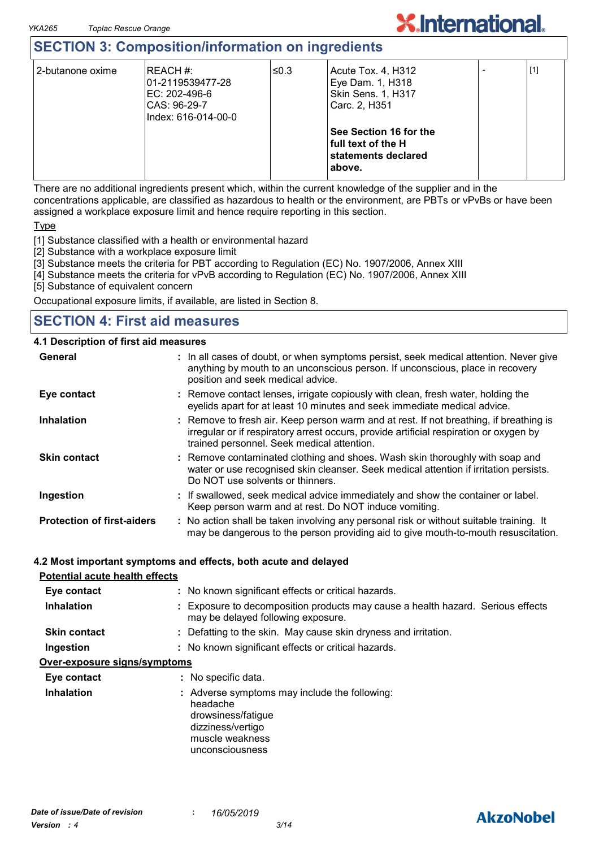### **SECTION 3: Composition/information on ingredients**

| 2-butanone oxime | IREACH #:<br>01-2119539477-28<br>IEC: 202-496-6<br>CAS: 96-29-7<br>lIndex: 616-014-00-0 | ≤0.3 | Acute Tox. 4, H312<br>Eye Dam. 1, H318<br><b>Skin Sens. 1, H317</b><br>Carc. 2, H351 | $[1]$ |
|------------------|-----------------------------------------------------------------------------------------|------|--------------------------------------------------------------------------------------|-------|
|                  |                                                                                         |      | See Section 16 for the<br>full text of the H<br>statements declared<br>above.        |       |

**X.International.** 

There are no additional ingredients present which, within the current knowledge of the supplier and in the concentrations applicable, are classified as hazardous to health or the environment, are PBTs or vPvBs or have been assigned a workplace exposure limit and hence require reporting in this section.

**Type** 

[1] Substance classified with a health or environmental hazard

[2] Substance with a workplace exposure limit

[3] Substance meets the criteria for PBT according to Regulation (EC) No. 1907/2006, Annex XIII

[4] Substance meets the criteria for vPvB according to Regulation (EC) No. 1907/2006, Annex XIII

[5] Substance of equivalent concern

Occupational exposure limits, if available, are listed in Section 8.

### **SECTION 4: First aid measures**

#### **4.1 Description of first aid measures**

| General                           | : In all cases of doubt, or when symptoms persist, seek medical attention. Never give<br>anything by mouth to an unconscious person. If unconscious, place in recovery<br>position and seek medical advice.                    |  |
|-----------------------------------|--------------------------------------------------------------------------------------------------------------------------------------------------------------------------------------------------------------------------------|--|
| Eye contact                       | : Remove contact lenses, irrigate copiously with clean, fresh water, holding the<br>eyelids apart for at least 10 minutes and seek immediate medical advice.                                                                   |  |
| <b>Inhalation</b>                 | : Remove to fresh air. Keep person warm and at rest. If not breathing, if breathing is<br>irregular or if respiratory arrest occurs, provide artificial respiration or oxygen by<br>trained personnel. Seek medical attention. |  |
| <b>Skin contact</b>               | : Remove contaminated clothing and shoes. Wash skin thoroughly with soap and<br>water or use recognised skin cleanser. Seek medical attention if irritation persists.<br>Do NOT use solvents or thinners.                      |  |
| Ingestion                         | : If swallowed, seek medical advice immediately and show the container or label.<br>Keep person warm and at rest. Do NOT induce vomiting.                                                                                      |  |
| <b>Protection of first-aiders</b> | : No action shall be taken involving any personal risk or without suitable training. It<br>may be dangerous to the person providing aid to give mouth-to-mouth resuscitation.                                                  |  |
|                                   | 4.2 Most important symptoms and effects, both acute and delayed                                                                                                                                                                |  |

#### **urtant symptoms and effects, both ac Potential acute health effects**

| Potential acute nealth effects |                                                                                                                                            |
|--------------------------------|--------------------------------------------------------------------------------------------------------------------------------------------|
| Eye contact                    | : No known significant effects or critical hazards.                                                                                        |
| <b>Inhalation</b>              | : Exposure to decomposition products may cause a health hazard. Serious effects<br>may be delayed following exposure.                      |
| <b>Skin contact</b>            | : Defatting to the skin. May cause skin dryness and irritation.                                                                            |
| Ingestion                      | : No known significant effects or critical hazards.                                                                                        |
| Over-exposure signs/symptoms   |                                                                                                                                            |
| Eye contact                    | : No specific data.                                                                                                                        |
| <b>Inhalation</b>              | : Adverse symptoms may include the following:<br>headache<br>drowsiness/fatigue<br>dizziness/vertigo<br>muscle weakness<br>unconsciousness |

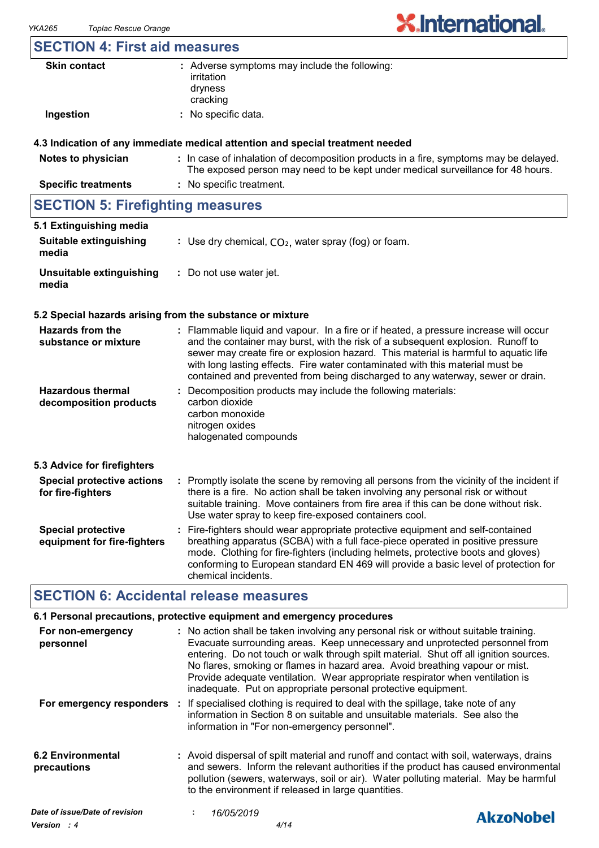# **X.International.**

### **SECTION 4: First aid measures**

| <b>Skin contact</b> | : Adverse symptoms may include the following:<br>irritation<br>dryness |
|---------------------|------------------------------------------------------------------------|
| Ingestion           | cracking<br>: No specific data.                                        |
|                     |                                                                        |

#### **4.3 Indication of any immediate medical attention and special treatment needed**

| Notes to physician         | : In case of inhalation of decomposition products in a fire, symptoms may be delayed.<br>The exposed person may need to be kept under medical surveillance for 48 hours. |
|----------------------------|--------------------------------------------------------------------------------------------------------------------------------------------------------------------------|
| <b>Specific treatments</b> | : No specific treatment.                                                                                                                                                 |
|                            |                                                                                                                                                                          |

### **SECTION 5: Firefighting measures**

| 5.1 Extinguishing media           |                                                        |
|-----------------------------------|--------------------------------------------------------|
| Suitable extinguishing<br>media   | : Use dry chemical, $CO2$ , water spray (fog) or foam. |
| Unsuitable extinguishing<br>media | : Do not use water jet.                                |

#### **5.2 Special hazards arising from the substance or mixture**

| : Flammable liquid and vapour. In a fire or if heated, a pressure increase will occur<br>and the container may burst, with the risk of a subsequent explosion. Runoff to<br>sewer may create fire or explosion hazard. This material is harmful to aquatic life<br>with long lasting effects. Fire water contaminated with this material must be<br>contained and prevented from being discharged to any waterway, sewer or drain. |
|------------------------------------------------------------------------------------------------------------------------------------------------------------------------------------------------------------------------------------------------------------------------------------------------------------------------------------------------------------------------------------------------------------------------------------|
| : Decomposition products may include the following materials:<br>carbon dioxide<br>carbon monoxide<br>nitrogen oxides<br>halogenated compounds                                                                                                                                                                                                                                                                                     |
|                                                                                                                                                                                                                                                                                                                                                                                                                                    |
| : Promptly isolate the scene by removing all persons from the vicinity of the incident if<br>there is a fire. No action shall be taken involving any personal risk or without<br>suitable training. Move containers from fire area if this can be done without risk.<br>Use water spray to keep fire-exposed containers cool.                                                                                                      |
| : Fire-fighters should wear appropriate protective equipment and self-contained<br>breathing apparatus (SCBA) with a full face-piece operated in positive pressure<br>mode. Clothing for fire-fighters (including helmets, protective boots and gloves)<br>conforming to European standard EN 469 will provide a basic level of protection for<br>chemical incidents.                                                              |
|                                                                                                                                                                                                                                                                                                                                                                                                                                    |

### **SECTION 6: Accidental release measures**

|                                                  | 6.1 Personal precautions, protective equipment and emergency procedures                                                                                                                                                                                                                                                                                                                                                                                                                        |                  |
|--------------------------------------------------|------------------------------------------------------------------------------------------------------------------------------------------------------------------------------------------------------------------------------------------------------------------------------------------------------------------------------------------------------------------------------------------------------------------------------------------------------------------------------------------------|------------------|
| For non-emergency<br>personnel                   | : No action shall be taken involving any personal risk or without suitable training.<br>Evacuate surrounding areas. Keep unnecessary and unprotected personnel from<br>entering. Do not touch or walk through spilt material. Shut off all ignition sources.<br>No flares, smoking or flames in hazard area. Avoid breathing vapour or mist.<br>Provide adequate ventilation. Wear appropriate respirator when ventilation is<br>inadequate. Put on appropriate personal protective equipment. |                  |
|                                                  | For emergency responders : If specialised clothing is required to deal with the spillage, take note of any<br>information in Section 8 on suitable and unsuitable materials. See also the<br>information in "For non-emergency personnel".                                                                                                                                                                                                                                                     |                  |
| <b>6.2 Environmental</b><br>precautions          | : Avoid dispersal of spilt material and runoff and contact with soil, waterways, drains<br>and sewers. Inform the relevant authorities if the product has caused environmental<br>pollution (sewers, waterways, soil or air). Water polluting material. May be harmful<br>to the environment if released in large quantities.                                                                                                                                                                  |                  |
| Date of issue/Date of revision<br>$\blacksquare$ | 16/05/2019                                                                                                                                                                                                                                                                                                                                                                                                                                                                                     | <b>AkzoNobel</b> |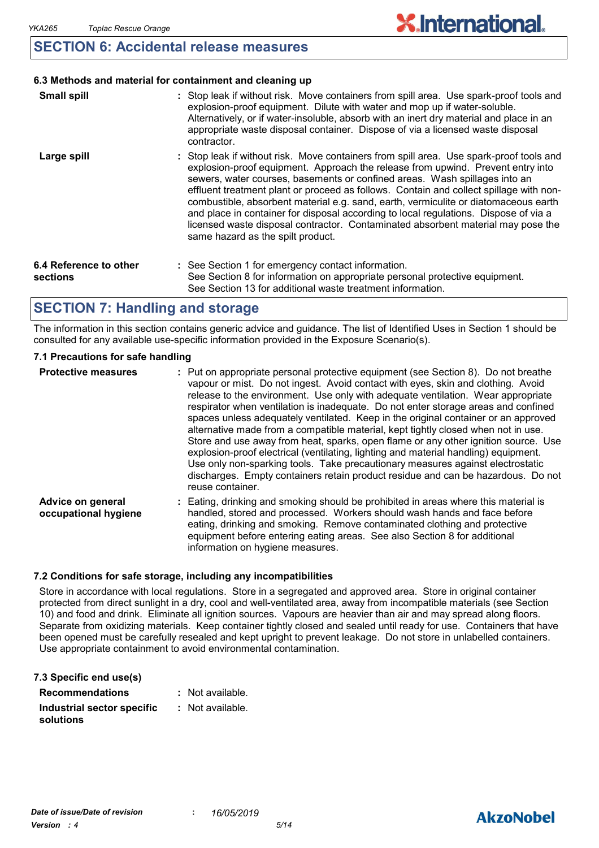### **SECTION 6: Accidental release measures**

#### **6.3 Methods and material for containment and cleaning up**

| <b>Small spill</b>                 | : Stop leak if without risk. Move containers from spill area. Use spark-proof tools and<br>explosion-proof equipment. Dilute with water and mop up if water-soluble.<br>Alternatively, or if water-insoluble, absorb with an inert dry material and place in an<br>appropriate waste disposal container. Dispose of via a licensed waste disposal<br>contractor.                                                                                                                                                                                                                                                                                           |
|------------------------------------|------------------------------------------------------------------------------------------------------------------------------------------------------------------------------------------------------------------------------------------------------------------------------------------------------------------------------------------------------------------------------------------------------------------------------------------------------------------------------------------------------------------------------------------------------------------------------------------------------------------------------------------------------------|
| Large spill                        | : Stop leak if without risk. Move containers from spill area. Use spark-proof tools and<br>explosion-proof equipment. Approach the release from upwind. Prevent entry into<br>sewers, water courses, basements or confined areas. Wash spillages into an<br>effluent treatment plant or proceed as follows. Contain and collect spillage with non-<br>combustible, absorbent material e.g. sand, earth, vermiculite or diatomaceous earth<br>and place in container for disposal according to local regulations. Dispose of via a<br>licensed waste disposal contractor. Contaminated absorbent material may pose the<br>same hazard as the spilt product. |
| 6.4 Reference to other<br>sections | : See Section 1 for emergency contact information.<br>See Section 8 for information on appropriate personal protective equipment.<br>See Section 13 for additional waste treatment information.                                                                                                                                                                                                                                                                                                                                                                                                                                                            |

### **SECTION 7: Handling and storage**

The information in this section contains generic advice and guidance. The list of Identified Uses in Section 1 should be consulted for any available use-specific information provided in the Exposure Scenario(s).

#### **7.1 Precautions for safe handling**

| <b>Protective measures</b>                | : Put on appropriate personal protective equipment (see Section 8). Do not breathe<br>vapour or mist. Do not ingest. Avoid contact with eyes, skin and clothing. Avoid<br>release to the environment. Use only with adequate ventilation. Wear appropriate<br>respirator when ventilation is inadequate. Do not enter storage areas and confined<br>spaces unless adequately ventilated. Keep in the original container or an approved<br>alternative made from a compatible material, kept tightly closed when not in use.<br>Store and use away from heat, sparks, open flame or any other ignition source. Use<br>explosion-proof electrical (ventilating, lighting and material handling) equipment.<br>Use only non-sparking tools. Take precautionary measures against electrostatic<br>discharges. Empty containers retain product residue and can be hazardous. Do not<br>reuse container. |
|-------------------------------------------|----------------------------------------------------------------------------------------------------------------------------------------------------------------------------------------------------------------------------------------------------------------------------------------------------------------------------------------------------------------------------------------------------------------------------------------------------------------------------------------------------------------------------------------------------------------------------------------------------------------------------------------------------------------------------------------------------------------------------------------------------------------------------------------------------------------------------------------------------------------------------------------------------|
| Advice on general<br>occupational hygiene | : Eating, drinking and smoking should be prohibited in areas where this material is<br>handled, stored and processed. Workers should wash hands and face before<br>eating, drinking and smoking. Remove contaminated clothing and protective<br>equipment before entering eating areas. See also Section 8 for additional<br>information on hygiene measures.                                                                                                                                                                                                                                                                                                                                                                                                                                                                                                                                      |

#### **7.2 Conditions for safe storage, including any incompatibilities**

Store in accordance with local regulations. Store in a segregated and approved area. Store in original container protected from direct sunlight in a dry, cool and well-ventilated area, away from incompatible materials (see Section 10) and food and drink. Eliminate all ignition sources. Vapours are heavier than air and may spread along floors. Separate from oxidizing materials. Keep container tightly closed and sealed until ready for use. Containers that have been opened must be carefully resealed and kept upright to prevent leakage. Do not store in unlabelled containers. Use appropriate containment to avoid environmental contamination.

| 7.3 Specific end use(s)                 |                  |
|-----------------------------------------|------------------|
| <b>Recommendations</b>                  | : Not available. |
| Industrial sector specific<br>solutions | : Not available. |

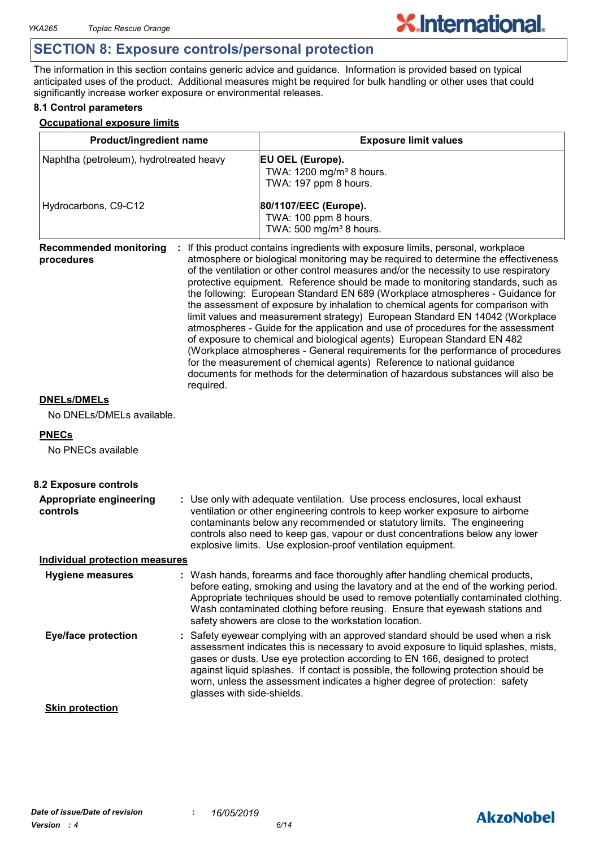## **X.International.**

### **SECTION 8: Exposure controls/personal protection**

The information in this section contains generic advice and guidance. Information is provided based on typical anticipated uses of the product. Additional measures might be required for bulk handling or other uses that could significantly increase worker exposure or environmental releases.

#### **8.1 Control parameters**

#### **Occupational exposure limits**

| Product/ingredient name<br>Naphtha (petroleum), hydrotreated heavy |                            | <b>Exposure limit values</b><br>EU OEL (Europe).<br>TWA: 1200 mg/m <sup>3</sup> 8 hours.<br>TWA: 197 ppm 8 hours.                                                                                                                                                                                                                                                                                                                                                                                                                                                                                                                                                                                                                                                                                                                                                                                                                                                                                                   |  |  |  |
|--------------------------------------------------------------------|----------------------------|---------------------------------------------------------------------------------------------------------------------------------------------------------------------------------------------------------------------------------------------------------------------------------------------------------------------------------------------------------------------------------------------------------------------------------------------------------------------------------------------------------------------------------------------------------------------------------------------------------------------------------------------------------------------------------------------------------------------------------------------------------------------------------------------------------------------------------------------------------------------------------------------------------------------------------------------------------------------------------------------------------------------|--|--|--|
|                                                                    |                            |                                                                                                                                                                                                                                                                                                                                                                                                                                                                                                                                                                                                                                                                                                                                                                                                                                                                                                                                                                                                                     |  |  |  |
| <b>Recommended monitoring</b><br>procedures<br>required.           |                            | If this product contains ingredients with exposure limits, personal, workplace<br>atmosphere or biological monitoring may be required to determine the effectiveness<br>of the ventilation or other control measures and/or the necessity to use respiratory<br>protective equipment. Reference should be made to monitoring standards, such as<br>the following: European Standard EN 689 (Workplace atmospheres - Guidance for<br>the assessment of exposure by inhalation to chemical agents for comparison with<br>limit values and measurement strategy) European Standard EN 14042 (Workplace<br>atmospheres - Guide for the application and use of procedures for the assessment<br>of exposure to chemical and biological agents) European Standard EN 482<br>(Workplace atmospheres - General requirements for the performance of procedures<br>for the measurement of chemical agents) Reference to national guidance<br>documents for methods for the determination of hazardous substances will also be |  |  |  |
| <b>DNELs/DMELs</b>                                                 |                            |                                                                                                                                                                                                                                                                                                                                                                                                                                                                                                                                                                                                                                                                                                                                                                                                                                                                                                                                                                                                                     |  |  |  |
| No DNELs/DMELs available.                                          |                            |                                                                                                                                                                                                                                                                                                                                                                                                                                                                                                                                                                                                                                                                                                                                                                                                                                                                                                                                                                                                                     |  |  |  |
| <b>PNECs</b><br>No PNECs available                                 |                            |                                                                                                                                                                                                                                                                                                                                                                                                                                                                                                                                                                                                                                                                                                                                                                                                                                                                                                                                                                                                                     |  |  |  |
| 8.2 Exposure controls                                              |                            |                                                                                                                                                                                                                                                                                                                                                                                                                                                                                                                                                                                                                                                                                                                                                                                                                                                                                                                                                                                                                     |  |  |  |
| <b>Appropriate engineering</b><br>controls                         |                            | : Use only with adequate ventilation. Use process enclosures, local exhaust<br>ventilation or other engineering controls to keep worker exposure to airborne<br>contaminants below any recommended or statutory limits. The engineering<br>controls also need to keep gas, vapour or dust concentrations below any lower<br>explosive limits. Use explosion-proof ventilation equipment.                                                                                                                                                                                                                                                                                                                                                                                                                                                                                                                                                                                                                            |  |  |  |
| <b>Individual protection measures</b>                              |                            |                                                                                                                                                                                                                                                                                                                                                                                                                                                                                                                                                                                                                                                                                                                                                                                                                                                                                                                                                                                                                     |  |  |  |
| Hygiene measures                                                   |                            | : Wash hands, forearms and face thoroughly after handling chemical products,<br>before eating, smoking and using the lavatory and at the end of the working period.<br>Appropriate techniques should be used to remove potentially contaminated clothing.<br>Wash contaminated clothing before reusing. Ensure that eyewash stations and<br>safety showers are close to the workstation location.                                                                                                                                                                                                                                                                                                                                                                                                                                                                                                                                                                                                                   |  |  |  |
| <b>Eye/face protection</b>                                         | glasses with side-shields. | : Safety eyewear complying with an approved standard should be used when a risk<br>assessment indicates this is necessary to avoid exposure to liquid splashes, mists,<br>gases or dusts. Use eye protection according to EN 166, designed to protect<br>against liquid splashes. If contact is possible, the following protection should be<br>worn, unless the assessment indicates a higher degree of protection: safety                                                                                                                                                                                                                                                                                                                                                                                                                                                                                                                                                                                         |  |  |  |
| <b>Skin protection</b>                                             |                            |                                                                                                                                                                                                                                                                                                                                                                                                                                                                                                                                                                                                                                                                                                                                                                                                                                                                                                                                                                                                                     |  |  |  |

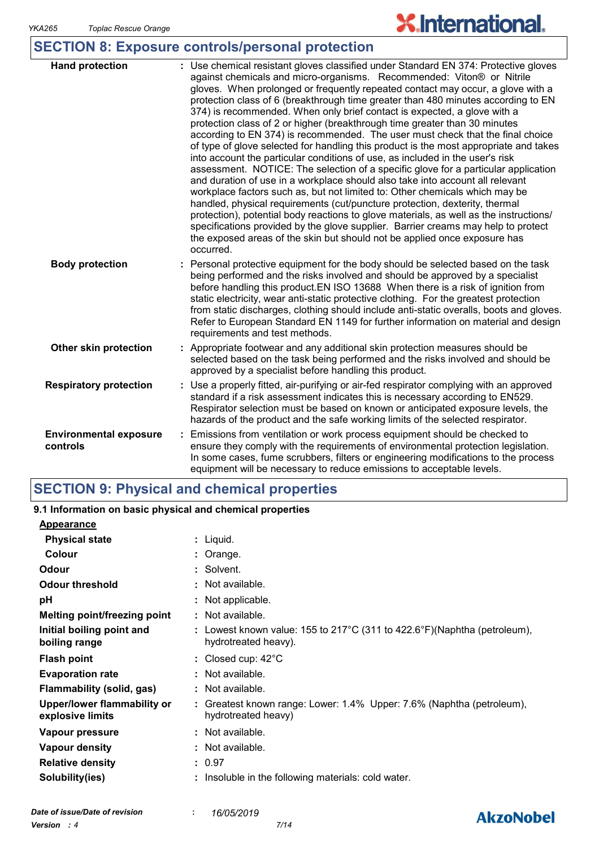# **X.International.**

### **SECTION 8: Exposure controls/personal protection**

| <b>Hand protection</b>                    | : Use chemical resistant gloves classified under Standard EN 374: Protective gloves<br>against chemicals and micro-organisms. Recommended: Viton® or Nitrile<br>gloves. When prolonged or frequently repeated contact may occur, a glove with a<br>protection class of 6 (breakthrough time greater than 480 minutes according to EN<br>374) is recommended. When only brief contact is expected, a glove with a<br>protection class of 2 or higher (breakthrough time greater than 30 minutes<br>according to EN 374) is recommended. The user must check that the final choice<br>of type of glove selected for handling this product is the most appropriate and takes<br>into account the particular conditions of use, as included in the user's risk<br>assessment. NOTICE: The selection of a specific glove for a particular application<br>and duration of use in a workplace should also take into account all relevant<br>workplace factors such as, but not limited to: Other chemicals which may be<br>handled, physical requirements (cut/puncture protection, dexterity, thermal<br>protection), potential body reactions to glove materials, as well as the instructions/<br>specifications provided by the glove supplier. Barrier creams may help to protect<br>the exposed areas of the skin but should not be applied once exposure has<br>occurred. |
|-------------------------------------------|--------------------------------------------------------------------------------------------------------------------------------------------------------------------------------------------------------------------------------------------------------------------------------------------------------------------------------------------------------------------------------------------------------------------------------------------------------------------------------------------------------------------------------------------------------------------------------------------------------------------------------------------------------------------------------------------------------------------------------------------------------------------------------------------------------------------------------------------------------------------------------------------------------------------------------------------------------------------------------------------------------------------------------------------------------------------------------------------------------------------------------------------------------------------------------------------------------------------------------------------------------------------------------------------------------------------------------------------------------------------------|
| <b>Body protection</b>                    | Personal protective equipment for the body should be selected based on the task<br>being performed and the risks involved and should be approved by a specialist<br>before handling this product. EN ISO 13688 When there is a risk of ignition from<br>static electricity, wear anti-static protective clothing. For the greatest protection<br>from static discharges, clothing should include anti-static overalls, boots and gloves.<br>Refer to European Standard EN 1149 for further information on material and design<br>requirements and test methods.                                                                                                                                                                                                                                                                                                                                                                                                                                                                                                                                                                                                                                                                                                                                                                                                          |
| Other skin protection                     | : Appropriate footwear and any additional skin protection measures should be<br>selected based on the task being performed and the risks involved and should be<br>approved by a specialist before handling this product.                                                                                                                                                                                                                                                                                                                                                                                                                                                                                                                                                                                                                                                                                                                                                                                                                                                                                                                                                                                                                                                                                                                                                |
| <b>Respiratory protection</b>             | : Use a properly fitted, air-purifying or air-fed respirator complying with an approved<br>standard if a risk assessment indicates this is necessary according to EN529.<br>Respirator selection must be based on known or anticipated exposure levels, the<br>hazards of the product and the safe working limits of the selected respirator.                                                                                                                                                                                                                                                                                                                                                                                                                                                                                                                                                                                                                                                                                                                                                                                                                                                                                                                                                                                                                            |
| <b>Environmental exposure</b><br>controls | Emissions from ventilation or work process equipment should be checked to<br>÷.<br>ensure they comply with the requirements of environmental protection legislation.<br>In some cases, fume scrubbers, filters or engineering modifications to the process<br>equipment will be necessary to reduce emissions to acceptable levels.                                                                                                                                                                                                                                                                                                                                                                                                                                                                                                                                                                                                                                                                                                                                                                                                                                                                                                                                                                                                                                      |

### **SECTION 9: Physical and chemical properties**

| 9.1 Information on basic physical and chemical properties                                        |
|--------------------------------------------------------------------------------------------------|
|                                                                                                  |
| $:$ Liquid.                                                                                      |
| : Orange.                                                                                        |
| : Solvent.                                                                                       |
| : Not available.                                                                                 |
| : Not applicable.                                                                                |
| $\therefore$ Not available.                                                                      |
| : Lowest known value: 155 to 217°C (311 to 422.6°F)(Naphtha (petroleum),<br>hydrotreated heavy). |
| : Closed cup: $42^{\circ}$ C                                                                     |
| : Not available.                                                                                 |
| : Not available.                                                                                 |
| : Greatest known range: Lower: 1.4% Upper: 7.6% (Naphtha (petroleum),<br>hydrotreated heavy)     |
| $\therefore$ Not available.                                                                      |
| : Not available.                                                                                 |
| : 0.97                                                                                           |
| : Insoluble in the following materials: cold water.                                              |
|                                                                                                  |
|                                                                                                  |

### **AkzoNobel**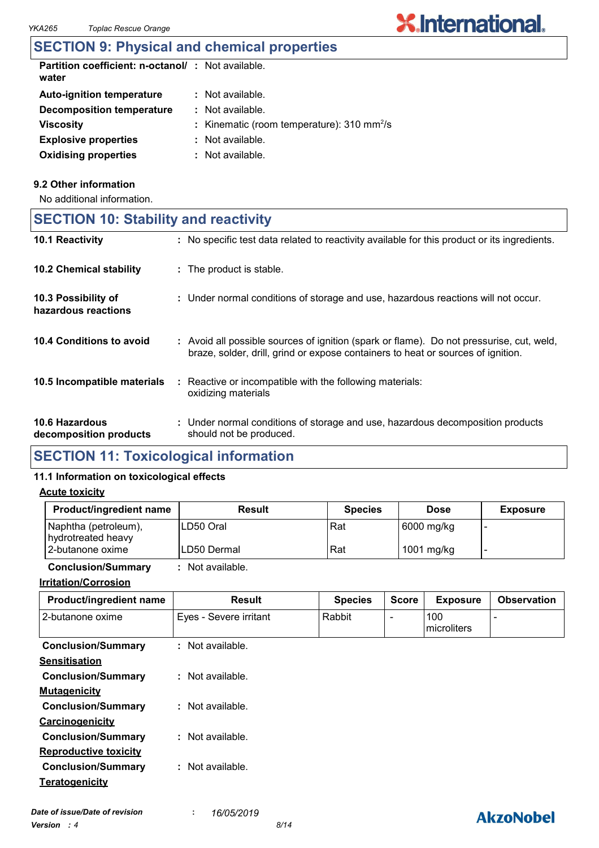### **SECTION 9: Physical and chemical properties**

| <b>Partition coefficient: n-octanol/: Not available.</b><br>water |                                                             |
|-------------------------------------------------------------------|-------------------------------------------------------------|
| <b>Auto-ignition temperature</b>                                  | $\therefore$ Not available.                                 |
| Decomposition temperature                                         | $\therefore$ Not available.                                 |
| <b>Viscosity</b>                                                  | : Kinematic (room temperature): $310 \text{ mm}^2/\text{s}$ |
| <b>Explosive properties</b>                                       | : Not available.                                            |
| <b>Oxidising properties</b>                                       | : Not available.                                            |

#### **9.2 Other information**

No additional information.

| <b>SECTION 10: Stability and reactivity</b> |  |  |  |  |  |
|---------------------------------------------|--|--|--|--|--|
|---------------------------------------------|--|--|--|--|--|

| 10.1 Reactivity                                 | : No specific test data related to reactivity available for this product or its ingredients.                                                                                 |
|-------------------------------------------------|------------------------------------------------------------------------------------------------------------------------------------------------------------------------------|
| <b>10.2 Chemical stability</b>                  | : The product is stable.                                                                                                                                                     |
| 10.3 Possibility of<br>hazardous reactions      | : Under normal conditions of storage and use, hazardous reactions will not occur.                                                                                            |
| 10.4 Conditions to avoid                        | : Avoid all possible sources of ignition (spark or flame). Do not pressurise, cut, weld,<br>braze, solder, drill, grind or expose containers to heat or sources of ignition. |
| 10.5 Incompatible materials                     | : Reactive or incompatible with the following materials:<br>oxidizing materials                                                                                              |
| <b>10.6 Hazardous</b><br>decomposition products | : Under normal conditions of storage and use, hazardous decomposition products<br>should not be produced.                                                                    |

### **SECTION 11: Toxicological information**

#### **11.1 Information on toxicological effects**

#### **Acute toxicity**

| Product/ingredient name                    | <b>Result</b>    | <b>Species</b> | <b>Dose</b> | <b>Exposure</b> |
|--------------------------------------------|------------------|----------------|-------------|-----------------|
| Naphtha (petroleum),<br>hydrotreated heavy | ILD50 Oral       | Rat            | 6000 mg/kg  |                 |
| 12-butanone oxime                          | ILD50 Dermal     | Rat            | 1001 mg/kg  |                 |
| <b>Conclusion/Summary</b>                  | : Not available. |                |             |                 |

**Irritation/Corrosion**

| irritation/Corrosion |  |  |  |  |  |  |  |  |
|----------------------|--|--|--|--|--|--|--|--|
|                      |  |  |  |  |  |  |  |  |

| Product/ingredient name      | <b>Result</b>          | <b>Species</b> | <b>Score</b>             | <b>Exposure</b>    | <b>Observation</b> |
|------------------------------|------------------------|----------------|--------------------------|--------------------|--------------------|
| 2-butanone oxime             | Eyes - Severe irritant | Rabbit         | $\overline{\phantom{a}}$ | 100<br>microliters |                    |
| <b>Conclusion/Summary</b>    | : Not available.       |                |                          |                    |                    |
| <b>Sensitisation</b>         |                        |                |                          |                    |                    |
| <b>Conclusion/Summary</b>    | $:$ Not available.     |                |                          |                    |                    |
| <b>Mutagenicity</b>          |                        |                |                          |                    |                    |
| <b>Conclusion/Summary</b>    | : Not available.       |                |                          |                    |                    |
| Carcinogenicity              |                        |                |                          |                    |                    |
| <b>Conclusion/Summary</b>    | : Not available.       |                |                          |                    |                    |
| <b>Reproductive toxicity</b> |                        |                |                          |                    |                    |
| <b>Conclusion/Summary</b>    | : Not available.       |                |                          |                    |                    |
| Teratogenicity               |                        |                |                          |                    |                    |
|                              |                        |                |                          |                    |                    |

### **AkzoNobel**

**X.International.**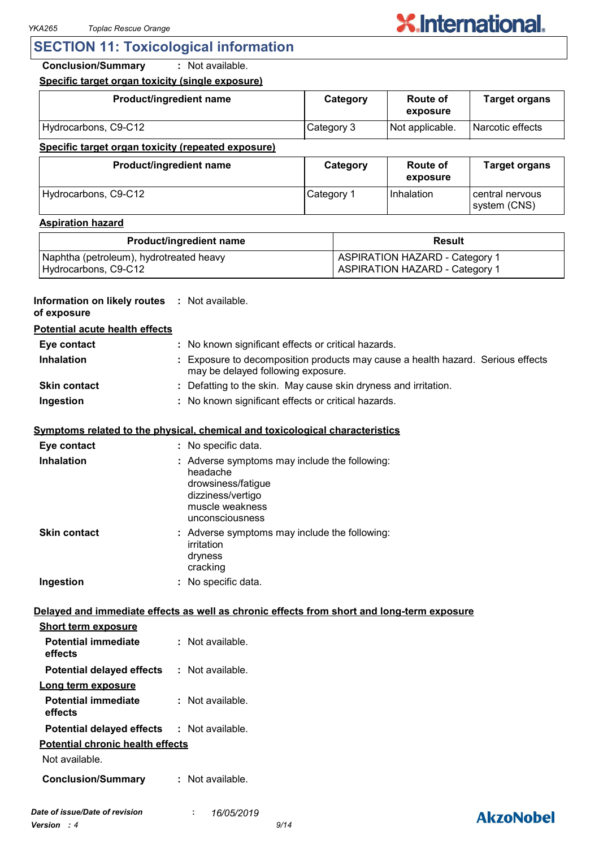### **SECTION 11: Toxicological information**

**Conclusion/Summary :** Not available.

**Specific target organ toxicity (single exposure)**

| Product/ingredient name                            | Category   | <b>Route of</b><br>exposure | <b>Target organs</b> |
|----------------------------------------------------|------------|-----------------------------|----------------------|
| Hydrocarbons, C9-C12                               | Category 3 | Not applicable.             | Narcotic effects     |
| Specific target organ toxicity (repeated exposure) |            |                             |                      |
| Product/ingredient name                            | Category   | <b>Route of</b><br>exposure | <b>Target organs</b> |

|                      |             | exposure   |                                   |
|----------------------|-------------|------------|-----------------------------------|
| Hydrocarbons, C9-C12 | ⊪Category 1 | Inhalation | l central nervous<br>system (CNS) |

#### **Aspiration hazard**

| <b>Product/ingredient name</b>          | Result                                |  |
|-----------------------------------------|---------------------------------------|--|
| Naphtha (petroleum), hydrotreated heavy | <b>ASPIRATION HAZARD - Category 1</b> |  |
| Hydrocarbons, C9-C12                    | <b>ASPIRATION HAZARD - Category 1</b> |  |

#### **Information on likely routes : Not available.**

**of exposure**

### **Potential acute health effects**

| Eye contact         | : No known significant effects or critical hazards.                                                                   |
|---------------------|-----------------------------------------------------------------------------------------------------------------------|
| <b>Inhalation</b>   | : Exposure to decomposition products may cause a health hazard. Serious effects<br>may be delayed following exposure. |
| <b>Skin contact</b> | : Defatting to the skin. May cause skin dryness and irritation.                                                       |
| Ingestion           | : No known significant effects or critical hazards.                                                                   |

#### **Symptoms related to the physical, chemical and toxicological characteristics**

| Eye contact         | : No specific data.                                                                                                                        |
|---------------------|--------------------------------------------------------------------------------------------------------------------------------------------|
| <b>Inhalation</b>   | : Adverse symptoms may include the following:<br>headache<br>drowsiness/fatigue<br>dizziness/vertigo<br>muscle weakness<br>unconsciousness |
| <b>Skin contact</b> | : Adverse symptoms may include the following:<br>irritation<br>dryness<br>cracking                                                         |
| Ingestion           | : No specific data.                                                                                                                        |

#### **Delayed and immediate effects as well as chronic effects from short and long-term exposure**

|                                  | Not available.                                    |
|----------------------------------|---------------------------------------------------|
|                                  | : Not available.                                  |
|                                  |                                                   |
|                                  | : Not available.                                  |
|                                  | <b>Potential delayed effects : Not available.</b> |
| Potential chronic health effects |                                                   |
|                                  |                                                   |
|                                  | : Not available.                                  |
|                                  |                                                   |

### **AkzoNobel**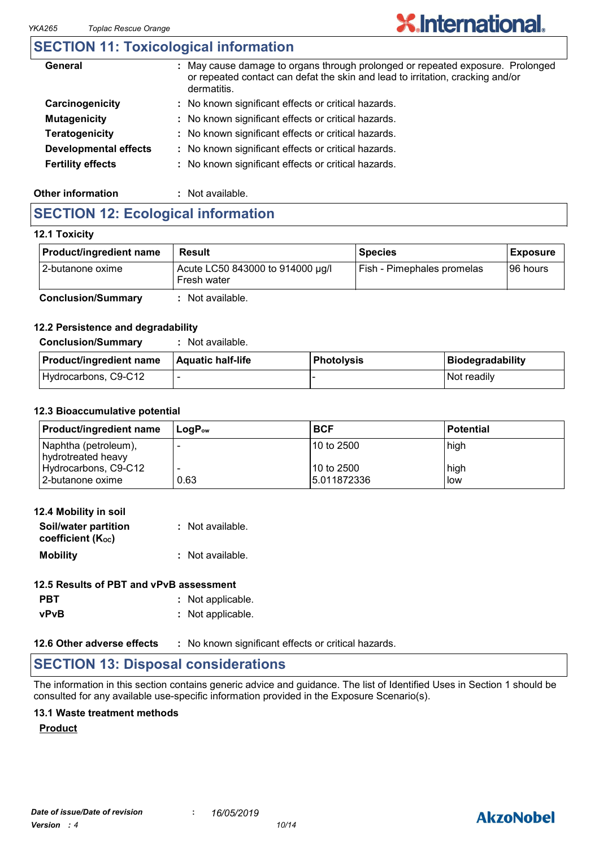### **SECTION 11: Toxicological information**

| General                      | May cause damage to organs through prolonged or repeated exposure. Prolonged<br>÷<br>or repeated contact can defat the skin and lead to irritation, cracking and/or<br>dermatitis. |
|------------------------------|------------------------------------------------------------------------------------------------------------------------------------------------------------------------------------|
| Carcinogenicity              | : No known significant effects or critical hazards.                                                                                                                                |
| <b>Mutagenicity</b>          | : No known significant effects or critical hazards.                                                                                                                                |
| <b>Teratogenicity</b>        | : No known significant effects or critical hazards.                                                                                                                                |
| <b>Developmental effects</b> | : No known significant effects or critical hazards.                                                                                                                                |
| <b>Fertility effects</b>     | : No known significant effects or critical hazards.                                                                                                                                |
|                              |                                                                                                                                                                                    |

**X.International.** 

#### **Other information :** Not available.

### **SECTION 12: Ecological information**

#### **12.1 Toxicity**

| <b>Product/ingredient name</b> | Result                                          | <b>Species</b>                    | <b>Exposure</b> |
|--------------------------------|-------------------------------------------------|-----------------------------------|-----------------|
| 2-butanone oxime               | Acute LC50 843000 to 914000 µg/l<br>Fresh water | <b>Fish - Pimephales promelas</b> | 196 hours       |
| <b>Conclusion/Summary</b>      | : Not available.                                |                                   |                 |

#### **12.2 Persistence and degradability**

| <b>Conclusion/Summary</b> | Not available. |  |
|---------------------------|----------------|--|
|---------------------------|----------------|--|

| <b>Product/ingredient name</b> | <b>Aquatic half-life</b> | <b>Photolysis</b> | Biodegradability |
|--------------------------------|--------------------------|-------------------|------------------|
| Hydrocarbons, C9-C12           |                          |                   | l Not readilv    |

#### **12.3 Bioaccumulative potential**

| <b>Product/ingredient name</b>             | ⊺LoqP <sub>ow</sub> | <b>BCF</b>                 | <b>Potential</b> |
|--------------------------------------------|---------------------|----------------------------|------------------|
| Naphtha (petroleum),<br>hydrotreated heavy |                     | 10 to 2500                 | high             |
| Hydrocarbons, C9-C12<br>12-butanone oxime  | 0.63                | 10 to 2500<br>15.011872336 | high<br>low      |

| 12.4 Mobility in soil                     |                  |
|-------------------------------------------|------------------|
| Soil/water partition<br>coefficient (Koc) | : Not available. |
| <b>Mobility</b>                           | : Not available. |

### **12.5 Results of PBT and vPvB assessment**

| <b>PBT</b>  | : Not applicable. |
|-------------|-------------------|
| <b>vPvB</b> | : Not applicable. |

**12.6 Other adverse effects** : No known significant effects or critical hazards.

### **SECTION 13: Disposal considerations**

The information in this section contains generic advice and guidance. The list of Identified Uses in Section 1 should be consulted for any available use-specific information provided in the Exposure Scenario(s).

#### **13.1 Waste treatment methods**

#### **Product**



### **AkzoNobel**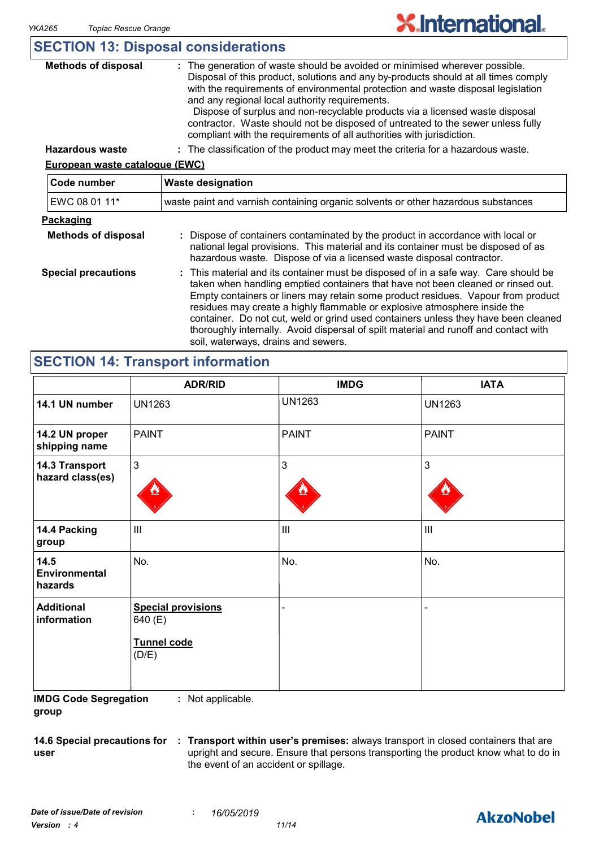|  | <b>SECTION 13: Disposal considerations</b> |
|--|--------------------------------------------|
|--|--------------------------------------------|

| <b>Methods of disposal</b>            | : The generation of waste should be avoided or minimised wherever possible.<br>Disposal of this product, solutions and any by-products should at all times comply<br>with the requirements of environmental protection and waste disposal legislation<br>and any regional local authority requirements.<br>Dispose of surplus and non-recyclable products via a licensed waste disposal<br>contractor. Waste should not be disposed of untreated to the sewer unless fully<br>compliant with the requirements of all authorities with jurisdiction.               |  |  |
|---------------------------------------|-------------------------------------------------------------------------------------------------------------------------------------------------------------------------------------------------------------------------------------------------------------------------------------------------------------------------------------------------------------------------------------------------------------------------------------------------------------------------------------------------------------------------------------------------------------------|--|--|
| <b>Hazardous waste</b>                | : The classification of the product may meet the criteria for a hazardous waste.                                                                                                                                                                                                                                                                                                                                                                                                                                                                                  |  |  |
| <b>European waste catalogue (EWC)</b> |                                                                                                                                                                                                                                                                                                                                                                                                                                                                                                                                                                   |  |  |
| Code number                           | <b>Waste designation</b>                                                                                                                                                                                                                                                                                                                                                                                                                                                                                                                                          |  |  |
| EWC 08 01 11*                         | waste paint and varnish containing organic solvents or other hazardous substances                                                                                                                                                                                                                                                                                                                                                                                                                                                                                 |  |  |
| <b>Packaging</b>                      |                                                                                                                                                                                                                                                                                                                                                                                                                                                                                                                                                                   |  |  |
| <b>Methods of disposal</b>            | Dispose of containers contaminated by the product in accordance with local or<br>national legal provisions. This material and its container must be disposed of as<br>hazardous waste. Dispose of via a licensed waste disposal contractor.                                                                                                                                                                                                                                                                                                                       |  |  |
| <b>Special precautions</b>            | This material and its container must be disposed of in a safe way. Care should be<br>÷.<br>taken when handling emptied containers that have not been cleaned or rinsed out.<br>Empty containers or liners may retain some product residues. Vapour from product<br>residues may create a highly flammable or explosive atmosphere inside the<br>container. Do not cut, weld or grind used containers unless they have been cleaned<br>thoroughly internally. Avoid dispersal of spilt material and runoff and contact with<br>soil, waterways, drains and sewers. |  |  |

### **SECTION 14: Transport information**

|                                         | <b>ADR/RID</b>                                                      | <b>IMDG</b>    | <b>IATA</b>                        |
|-----------------------------------------|---------------------------------------------------------------------|----------------|------------------------------------|
| 14.1 UN number                          | <b>UN1263</b>                                                       | <b>UN1263</b>  | <b>UN1263</b>                      |
| 14.2 UN proper<br>shipping name         | <b>PAINT</b>                                                        | <b>PAINT</b>   | <b>PAINT</b>                       |
| 14.3 Transport<br>hazard class(es)      | $\mathbf{3}$                                                        | 3              | $\mathbf{3}$                       |
| 14.4 Packing<br>group                   | $\mathbf{III}$                                                      | $\mathbf{III}$ | $\ensuremath{\mathsf{III}}\xspace$ |
| 14.5<br><b>Environmental</b><br>hazards | No.                                                                 | No.            | No.                                |
| <b>Additional</b><br>information        | <b>Special provisions</b><br>640 (E)<br><b>Tunnel code</b><br>(D/E) |                |                                    |

**IMDG Code Segregation group :** Not applicable.

**user**

**14.6 Special precautions for : Transport within user's premises:** always transport in closed containers that are upright and secure. Ensure that persons transporting the product know what to do in the event of an accident or spillage.

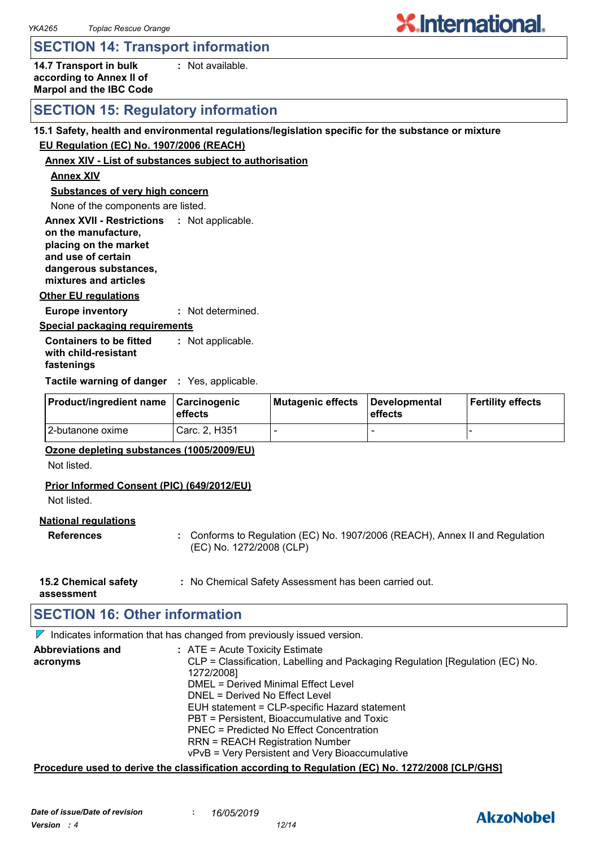### **SECTION 14: Transport information**

**14.7 Transport in bulk according to Annex II of Marpol and the IBC Code :** Not available.

### **SECTION 15: Regulatory information**

#### **15.1 Safety, health and environmental regulations/legislation specific for the substance or mixture**

#### **EU Regulation (EC) No. 1907/2006 (REACH)**

#### **Annex XIV - List of substances subject to authorisation**

#### **Annex XIV**

**Substances of very high concern**

None of the components are listed.

**Annex XVII - Restrictions : Not applicable.** 

**on the manufacture, placing on the market and use of certain dangerous substances, mixtures and articles**

#### **Other EU regulations**

**Europe inventory :** Not determined.

**Special packaging requirements**

**Containers to be fitted with child-resistant fastenings** Not applicable. **:**

**Tactile warning of danger : Yes, applicable.** 

| <b>Product/ingredient name</b> | <b>Carcinogenic</b><br>effects | Mutagenic effects | Developmental<br><b>effects</b> | <b>Fertility effects</b> |
|--------------------------------|--------------------------------|-------------------|---------------------------------|--------------------------|
| 12-butanone oxime              | Carc. 2, H351                  |                   | -                               |                          |

#### **Ozone depleting substances (1005/2009/EU)**

Not listed.

#### **Prior Informed Consent (PIC) (649/2012/EU)**

Not listed.

#### **National regulations**

- **References :** Conforms to Regulation (EC) No. 1907/2006 (REACH), Annex II and Regulation (EC) No. 1272/2008 (CLP)
- **15.2 Chemical safety :** No Chemical Safety Assessment has been carried out.

**assessment**

### **SECTION 16: Other information**

 $\nabla$  Indicates information that has changed from previously issued version.

| <b>Abbreviations and</b><br>acronyms | $:$ ATE = Acute Toxicity Estimate<br>CLP = Classification, Labelling and Packaging Regulation [Regulation (EC) No. |
|--------------------------------------|--------------------------------------------------------------------------------------------------------------------|
|                                      | 1272/2008]<br>DMEL = Derived Minimal Effect Level                                                                  |
|                                      | DNEL = Derived No Effect Level                                                                                     |
|                                      | EUH statement = CLP-specific Hazard statement                                                                      |
|                                      | PBT = Persistent, Bioaccumulative and Toxic                                                                        |
|                                      | PNEC = Predicted No Effect Concentration                                                                           |
|                                      | <b>RRN = REACH Registration Number</b>                                                                             |
|                                      | vPvB = Very Persistent and Very Bioaccumulative                                                                    |

#### **Procedure used to derive the classification according to Regulation (EC) No. 1272/2008 [CLP/GHS]**



**X**.International.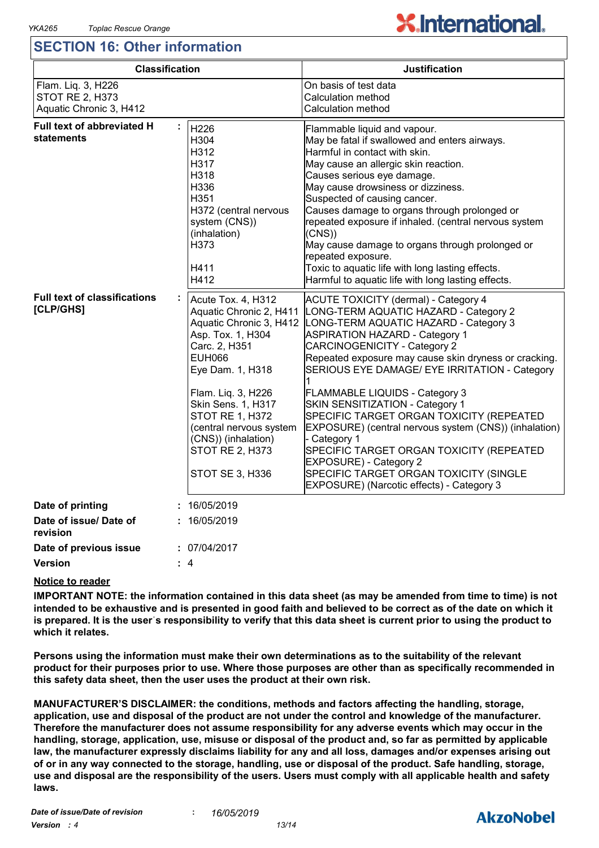### **SECTION 16: Other information**

# **X.International.**

| <b>Classification</b>                                                   |                                                                                                                                                                                                                                                                                                                   | <b>Justification</b>                                                                                                                                                                                                                                                                                                                                                                                                                                                                                                                                                                                                                                                           |  |
|-------------------------------------------------------------------------|-------------------------------------------------------------------------------------------------------------------------------------------------------------------------------------------------------------------------------------------------------------------------------------------------------------------|--------------------------------------------------------------------------------------------------------------------------------------------------------------------------------------------------------------------------------------------------------------------------------------------------------------------------------------------------------------------------------------------------------------------------------------------------------------------------------------------------------------------------------------------------------------------------------------------------------------------------------------------------------------------------------|--|
| Flam. Liq. 3, H226<br><b>STOT RE 2, H373</b><br>Aquatic Chronic 3, H412 |                                                                                                                                                                                                                                                                                                                   | On basis of test data<br>Calculation method<br>Calculation method                                                                                                                                                                                                                                                                                                                                                                                                                                                                                                                                                                                                              |  |
| <b>Full text of abbreviated H</b><br>statements                         | H226<br>H304<br>H312<br>H317<br>H318<br>H336<br>H351<br>H372 (central nervous<br>system (CNS))<br>(inhalation)<br>H373<br>H411<br>H412                                                                                                                                                                            | Flammable liquid and vapour.<br>May be fatal if swallowed and enters airways.<br>Harmful in contact with skin.<br>May cause an allergic skin reaction.<br>Causes serious eye damage.<br>May cause drowsiness or dizziness.<br>Suspected of causing cancer.<br>Causes damage to organs through prolonged or<br>repeated exposure if inhaled. (central nervous system<br>(CNS)<br>May cause damage to organs through prolonged or<br>repeated exposure.<br>Toxic to aquatic life with long lasting effects.<br>Harmful to aquatic life with long lasting effects.                                                                                                                |  |
| <b>Full text of classifications</b><br>[CLP/GHS]                        | Acute Tox. 4, H312<br>Aquatic Chronic 2, H411<br>Aquatic Chronic 3, H412<br>Asp. Tox. 1, H304<br>Carc. 2, H351<br><b>EUH066</b><br>Eye Dam. 1, H318<br>Flam. Liq. 3, H226<br>Skin Sens. 1, H317<br>STOT RE 1, H372<br>(central nervous system<br>(CNS)) (inhalation)<br>STOT RE 2, H373<br><b>STOT SE 3, H336</b> | <b>ACUTE TOXICITY (dermal) - Category 4</b><br>LONG-TERM AQUATIC HAZARD - Category 2<br>LONG-TERM AQUATIC HAZARD - Category 3<br><b>ASPIRATION HAZARD - Category 1</b><br><b>CARCINOGENICITY - Category 2</b><br>Repeated exposure may cause skin dryness or cracking.<br>SERIOUS EYE DAMAGE/ EYE IRRITATION - Category<br>FLAMMABLE LIQUIDS - Category 3<br>SKIN SENSITIZATION - Category 1<br>SPECIFIC TARGET ORGAN TOXICITY (REPEATED<br>EXPOSURE) (central nervous system (CNS)) (inhalation)<br>- Category 1<br>SPECIFIC TARGET ORGAN TOXICITY (REPEATED<br>EXPOSURE) - Category 2<br>SPECIFIC TARGET ORGAN TOXICITY (SINGLE<br>EXPOSURE) (Narcotic effects) - Category 3 |  |
| Date of printing                                                        | 16/05/2019                                                                                                                                                                                                                                                                                                        |                                                                                                                                                                                                                                                                                                                                                                                                                                                                                                                                                                                                                                                                                |  |
| Date of issue/ Date of<br>revision                                      | 16/05/2019                                                                                                                                                                                                                                                                                                        |                                                                                                                                                                                                                                                                                                                                                                                                                                                                                                                                                                                                                                                                                |  |
| Date of previous issue                                                  | : 07/04/2017                                                                                                                                                                                                                                                                                                      |                                                                                                                                                                                                                                                                                                                                                                                                                                                                                                                                                                                                                                                                                |  |
| Version                                                                 | : 4                                                                                                                                                                                                                                                                                                               |                                                                                                                                                                                                                                                                                                                                                                                                                                                                                                                                                                                                                                                                                |  |

#### **Notice to reader**

**IMPORTANT NOTE: the information contained in this data sheet (as may be amended from time to time) is not intended to be exhaustive and is presented in good faith and believed to be correct as of the date on which it is prepared. It is the userˈs responsibility to verify that this data sheet is current prior to using the product to which it relates.**

**Persons using the information must make their own determinations as to the suitability of the relevant product for their purposes prior to use. Where those purposes are other than as specifically recommended in this safety data sheet, then the user uses the product at their own risk.**

**MANUFACTURER'S DISCLAIMER: the conditions, methods and factors affecting the handling, storage, application, use and disposal of the product are not under the control and knowledge of the manufacturer. Therefore the manufacturer does not assume responsibility for any adverse events which may occur in the handling, storage, application, use, misuse or disposal of the product and, so far as permitted by applicable law, the manufacturer expressly disclaims liability for any and all loss, damages and/or expenses arising out of or in any way connected to the storage, handling, use or disposal of the product. Safe handling, storage, use and disposal are the responsibility of the users. Users must comply with all applicable health and safety laws.**